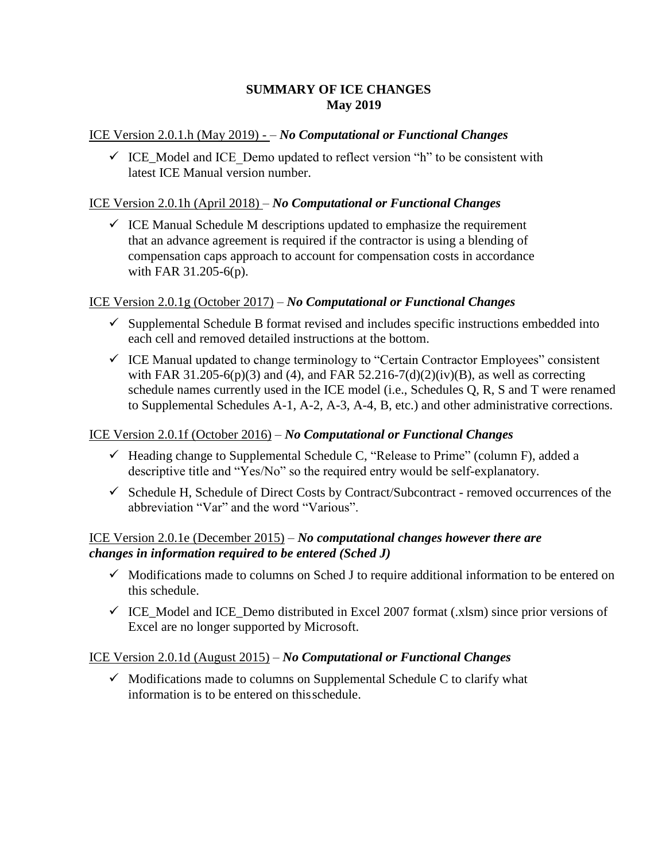## **SUMMARY OF ICE CHANGES May 2019**

#### ICE Version 2.0.1.h (May 2019) - – *No Computational or Functional Changes*

 $\checkmark$  ICE Model and ICE Demo updated to reflect version "h" to be consistent with latest ICE Manual version number.

#### ICE Version 2.0.1h (April 2018) – *No Computational or Functional Changes*

 $\checkmark$  ICE Manual Schedule M descriptions updated to emphasize the requirement that an advance agreement is required if the contractor is using a blending of compensation caps approach to account for compensation costs in accordance with FAR 31.205-6(p).

#### ICE Version 2.0.1g (October 2017) – *No Computational or Functional Changes*

- $\checkmark$  Supplemental Schedule B format revised and includes specific instructions embedded into each cell and removed detailed instructions at the bottom.
- $\checkmark$  ICE Manual updated to change terminology to "Certain Contractor Employees" consistent with FAR 31.205-6(p)(3) and (4), and FAR 52.216-7(d)(2)(iv)(B), as well as correcting schedule names currently used in the ICE model (i.e., Schedules Q, R, S and T were renamed to Supplemental Schedules A-1, A-2, A-3, A-4, B, etc.) and other administrative corrections.

#### ICE Version 2.0.1f (October 2016) – *No Computational or Functional Changes*

- $\checkmark$  Heading change to Supplemental Schedule C, "Release to Prime" (column F), added a descriptive title and "Yes/No" so the required entry would be self-explanatory.
- $\checkmark$  Schedule H, Schedule of Direct Costs by Contract/Subcontract removed occurrences of the abbreviation "Var" and the word "Various".

## ICE Version 2.0.1e (December 2015) – *No computational changes however there are changes in information required to be entered (Sched J)*

- $\checkmark$  Modifications made to columns on Sched J to require additional information to be entered on this schedule.
- $\checkmark$  ICE Model and ICE Demo distributed in Excel 2007 format (.xlsm) since prior versions of Excel are no longer supported by Microsoft.

## ICE Version 2.0.1d (August 2015) – *No Computational or Functional Changes*

 $\checkmark$  Modifications made to columns on Supplemental Schedule C to clarify what information is to be entered on thisschedule.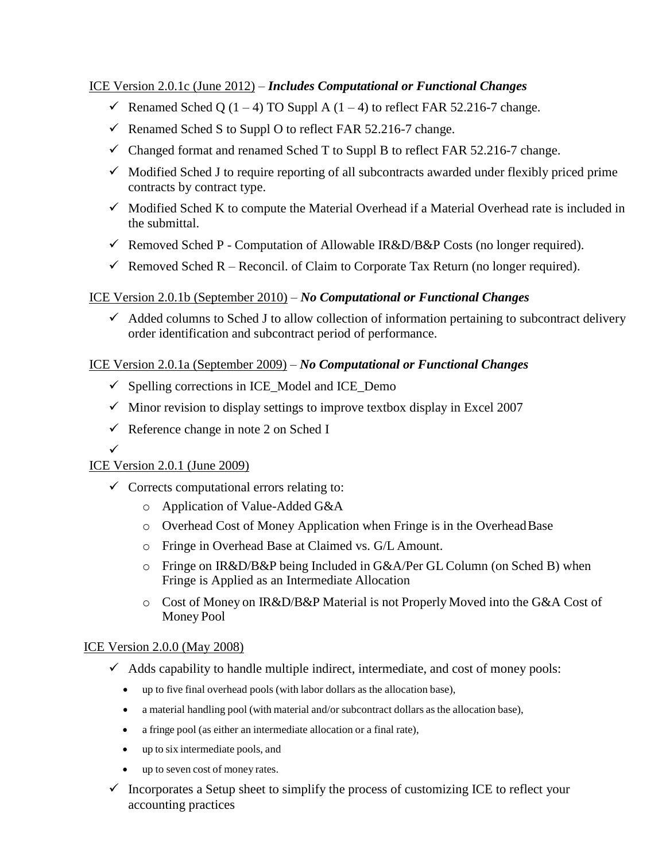## ICE Version 2.0.1c (June 2012) – *Includes Computational or Functional Changes*

- Renamed Sched Q  $(1 4)$  TO Suppl A  $(1 4)$  to reflect FAR 52.216-7 change.
- Renamed Sched S to Suppl O to reflect FAR 52.216-7 change.
- $\checkmark$  Changed format and renamed Sched T to Suppl B to reflect FAR 52.216-7 change.
- $\checkmark$  Modified Sched J to require reporting of all subcontracts awarded under flexibly priced prime contracts by contract type.
- $\checkmark$  Modified Sched K to compute the Material Overhead if a Material Overhead rate is included in the submittal.
- Removed Sched P Computation of Allowable IR&D/B&P Costs (no longer required).
- Removed Sched R Reconcil. of Claim to Corporate Tax Return (no longer required).

## ICE Version 2.0.1b (September 2010) – *No Computational or Functional Changes*

 $\checkmark$  Added columns to Sched J to allow collection of information pertaining to subcontract delivery order identification and subcontract period of performance.

## ICE Version 2.0.1a (September 2009) – *No Computational or Functional Changes*

- $\checkmark$  Spelling corrections in ICE\_Model and ICE\_Demo
- $\checkmark$  Minor revision to display settings to improve textbox display in Excel 2007
- $\checkmark$  Reference change in note 2 on Sched I

# ICE Version 2.0.1 (June 2009)

 $\checkmark$ 

- $\checkmark$  Corrects computational errors relating to:
	- o Application of Value-Added G&A
	- o Overhead Cost of Money Application when Fringe is in the OverheadBase
	- o Fringe in Overhead Base at Claimed vs. G/L Amount.
	- o Fringe on IR&D/B&P being Included in G&A/Per GL Column (on Sched B) when Fringe is Applied as an Intermediate Allocation
	- o Cost of Money on IR&D/B&P Material is not Properly Moved into the G&A Cost of Money Pool

## ICE Version 2.0.0 (May 2008)

- $\checkmark$  Adds capability to handle multiple indirect, intermediate, and cost of money pools:
	- up to five final overhead pools (with labor dollars as the allocation base),
	- a material handling pool (with material and/or subcontract dollars as the allocation base),
	- a fringe pool (as either an intermediate allocation or a final rate),
	- up to six intermediate pools, and
	- up to seven cost of money rates.
- $\checkmark$  Incorporates a Setup sheet to simplify the process of customizing ICE to reflect your accounting practices